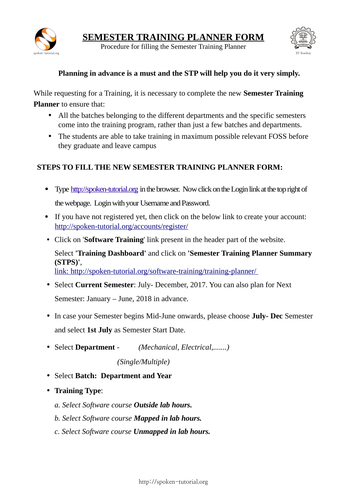

Procedure for filling the Semester Training Planner spoken-tutorial.org IIT Bombay



## **Planning in advance is a must and the STP will help you do it very simply.**

While requesting for a Training, it is necessary to complete the new **Semester Training Planner** to ensure that:

- All the batches belonging to the different departments and the specific semesters come into the training program, rather than just a few batches and departments.
- The students are able to take training in maximum possible relevant FOSS before they graduate and leave campus

## **STEPS TO FILL THE NEW SEMESTER TRAINING PLANNER FORM:**

- Type [http://spoken-tutorial.org](http://spoken-tutorial.org/) in the browser. Now click on the Login link at the top right of the webpage. Login with your Username and Password.
- If you have not registered yet, then click on the below link to create your account: <http://spoken-tutorial.org/accounts/register/>
- Click on '**Software Training**' link present in the header part of the website.

Select **'Training Dashboard'** and click on **'Semester Training Planner Summary (STPS)'**,

link:<http://spoken-tutorial.org/software-training/training-planner/>

- Select **Current Semester**: July- December, 2017. You can also plan for Next Semester: January – June, 2018 in advance.
- In case your Semester begins Mid-June onwards, please choose **July- Dec** Semester and select **1st July** as Semester Start Date.
- Select **Department**  *(Mechanical, Electrical,.......)*

*(Single/Multiple)*

- Select **Batch: Department and Year**
- **Training Type**:
	- *a. Select Software course Outside lab hours.*
	- *b. Select Software course Mapped in lab hours.*
	- *c. Select Software course Unmapped in lab hours.*